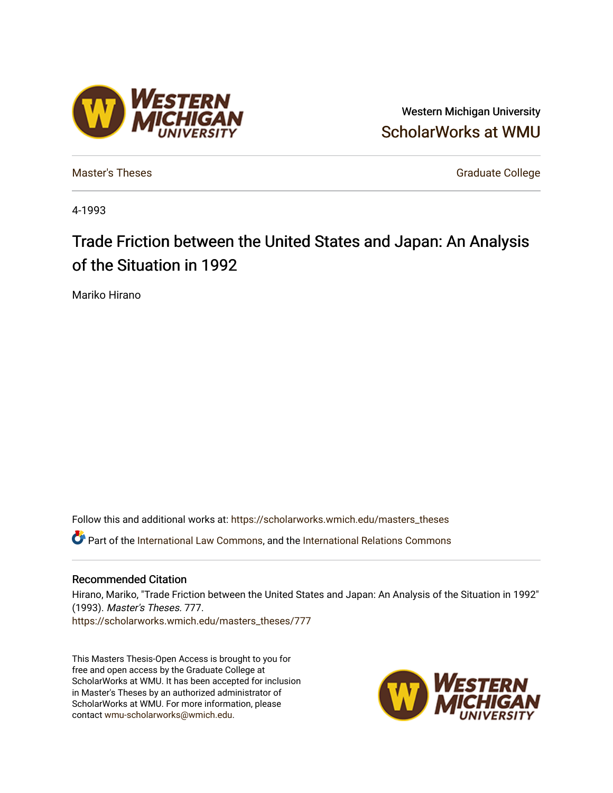## Western Michigan University [ScholarWorks at WMU](https://scholarworks.wmich.edu/)

[Master's Theses](https://scholarworks.wmich.edu/masters_theses) [Graduate College](https://scholarworks.wmich.edu/grad) Controller College College College College College College

4-1993

# Trade Friction between the United States and Japan: An Analysis of the Situation in 1992

Mariko Hirano

Follow this and additional works at: [https://scholarworks.wmich.edu/masters\\_theses](https://scholarworks.wmich.edu/masters_theses?utm_source=scholarworks.wmich.edu%2Fmasters_theses%2F777&utm_medium=PDF&utm_campaign=PDFCoverPages)  Part of the [International Law Commons,](http://network.bepress.com/hgg/discipline/609?utm_source=scholarworks.wmich.edu%2Fmasters_theses%2F777&utm_medium=PDF&utm_campaign=PDFCoverPages) and the International Relations Commons

#### Recommended Citation

Hirano, Mariko, "Trade Friction between the United States and Japan: An Analysis of the Situation in 1992" (1993). Master's Theses. 777. [https://scholarworks.wmich.edu/masters\\_theses/777](https://scholarworks.wmich.edu/masters_theses/777?utm_source=scholarworks.wmich.edu%2Fmasters_theses%2F777&utm_medium=PDF&utm_campaign=PDFCoverPages) 

This Masters Thesis-Open Access is brought to you for free and open access by the Graduate College at ScholarWorks at WMU. It has been accepted for inclusion in Master's Theses by an authorized administrator of ScholarWorks at WMU. For more information, please contact [wmu-scholarworks@wmich.edu](mailto:wmu-scholarworks@wmich.edu).